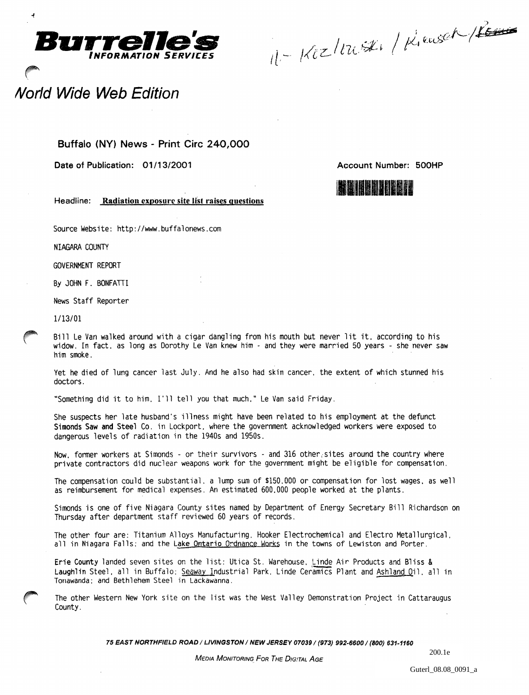

Burrelle's **1990**  $k_1$  ans  $e^{(1-\gamma)}$ 

## Norld Wide Web Edition

 $\overline{a}$ 

## Buffalo (NY) News - Print Circ 240,000

Date of Publication: 01/13/2001

Account Number: 500HP



Headline: Radiation exposure site list raises questions

Source Website: http://www.buffalonews.com

NIAGARA COUNTY

GOVERNMENT REPORT

By JOHN F. BONFATTI

News Staff Reporter

1/13/01

Bill Le Van walked around with a cigar dangling from his mouth but never lit it, according to his widow. In fact. as long as Dorothy Le Van knew him - and they were married 50 years - she never saw him smoke.

Yet he died of lung cancer last July. And he also had skin cancer, the extent of which stunned his doctors.

"Something did it to him. I'll tell you that much," Le Van said Friday.

She suspects her late husband's illness might have been related to his employment at the defunct Simonds Saw and Steel Co. in Lockport, where the government acknowledged workers were exposed to dangerous levels of radiation in the 1940s and 1950s.

Now, former workers at Simonds - or their survivors - and 316 other;sites around the country where private contractors did nuclear weapons work for the government might be eligible for compensation.

The compensation could be substantial, a lump sum of \$150.000 or compensation for lost wages, as well as reimbursement for medical expenses. An estimated 600,000 people worked at the plants.

Simonds is one of five Niagara County sites named by Department of Energy Secretary Bill Richardson on Thursday after department staff reviewed 60 years of records.

The other four are: Titanium Alloys Manufacturing. Hooker Electrochemical and Electro Metallurgical.<br>all in Niagara Falls: and the Lake Ontario Ordnance Works in the towns of Lewiston and Porter.

Erie County landed seven sites on the list: Utica St. Warehouse. Linde Air Products and Bliss & Laughlin Steel, all in Buffalo: Seaway Industrial Park. Linde Ceramics Plant and Ashland Oil. all in Tonawanda: and Bethlehem Steel in Lackawanna.

The other Western New York site on the list was the West Valley Demonstration Project in Cattaraugus County.

75 EAST NORTHFIELD ROAD / LIVINGSTON / NEW JERSEY 07039/ (973) 992·6600/ *(BOO) 631.1160*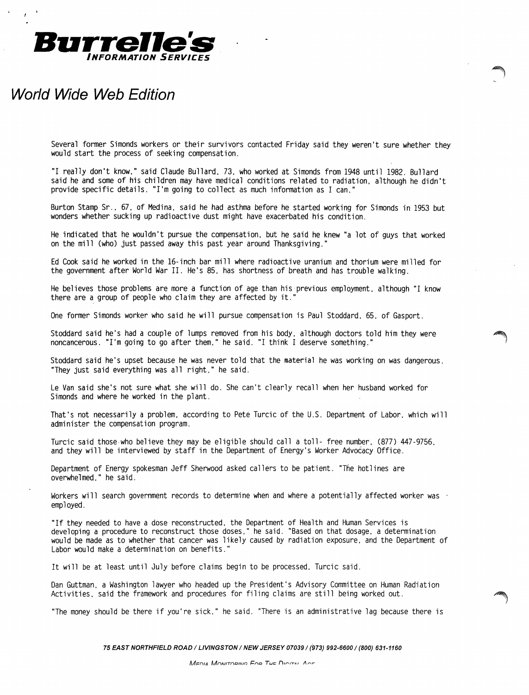

## **World Wide Web Edition**

Several former Simonds workers or their survivors contacted Friday said they weren't sure whether they would start the process of seeking compensation.

"I really don't know." said Claude Bullard. 73. who worked at Simonds from 1948 until 1982. Bullard said he and some of his children may have medical conditions related to radiation. although he didn't provide specific details. "I'm going to collect as much information as I can."

Burton Stamp Sr., 67, of Medina, said he had asthma before he started working for Simonds in 1953 but wonders whether sucking up radioactive dust might have exacerbated his condition.

He indicated that he wouldn't pursue the compensation. but he said he knew "a lot of guys that worked on the mill (who) just passed away this past year around Thanksgiving."

Ed Cook said he worked in the 16-inch bar mill where radioactive uranium and thorium were milled for the government after World War II. He's 85. has shortness of breath and has trouble walking.

He believes those problems are more a function of age than his previous employment. although "I know there are a group of people who claim they are affected by it.

One former Simonds worker who said he will pursue compensation is Paul Stoddard. 65. of Gasport.

Stoddard said he's had a couple of lumps removed from his body. although doctors told him they were noncancerous. "I'm going to go after them." he said. "I think I deserve something."

Stoddard said he's upset because he was never told that the material he was working on was dangerous. "They just said everything was all right." he said.

Le Van said she's not sure what she will do. She can't clearly recall when her husband worked for Simonds and where he worked in the plant.

That's not necessarily a problem. according to Pete Turcic of the U.S. Department of Labor. which will administer the compensation program.

Turcic said those·who believe they may be eligible should call a toll- free number. (877) 447-9756. and they will be interviewed by staff in the Department of Energy's Worker Advocacy Office.

Department of Energy spokesman Jeff Sherwood asked callers to be patient. "The hotlines are overwhelmed." he said.

Workers will search government records to determine when and where a potentially affected worker was employed.

"If they needed to have a dose reconstructed. the Department of Health and Human Services is developing a procedure to reconstruct those doses." he said. "Based on that dosage. a determination would be made as to whether that cancer was likely caused by radiation exposure. and the Department of Labor would make a determination on benefits."

It will be at least until July before claims begin to be processed. Turcic said.

Dan Guttman. a Washington lawyer who headed up the President's Advisory Committee on Human Radiation Activities. said the framework and procedures for filing claims are still being worked out.

"The money should be there if you're sick." he said. "There is an administrative lag because there is